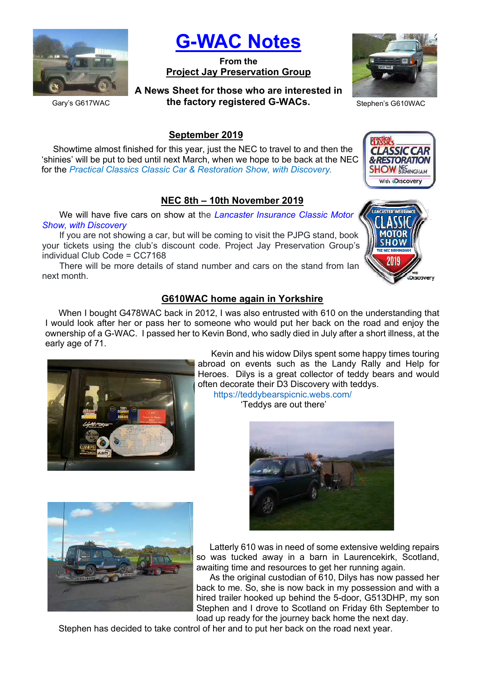

G-WAC Notes

From the Project Jay Preservation Group

A News Sheet for those who are interested in the factory registered G-WACs. Stephen's G610WAC



**CLASSIC CAR &RESTORATION SHOW NEC** BIRMINGHAM With **DISCOVERY** 

Gary's G617WAC

#### September 2019

Showtime almost finished for this year, just the NEC to travel to and then the 'shinies' will be put to bed until next March, when we hope to be back at the NEC for the Practical Classics Classic Car & Restoration Show, with Discovery.

## NEC 8th – 10th November 2019

We will have five cars on show at the Lancaster Insurance Classic Motor Show, with Discovery

If you are not showing a car, but will be coming to visit the PJPG stand, book your tickets using the club's discount code. Project Jay Preservation Group's individual Club Code = CC7168

There will be more details of stand number and cars on the stand from Ian next month.

### G610WAC home again in Yorkshire

When I bought G478WAC back in 2012, I was also entrusted with 610 on the understanding that I would look after her or pass her to someone who would put her back on the road and enjoy the ownership of a G-WAC. I passed her to Kevin Bond, who sadly died in July after a short illness, at the early age of 71.



Kevin and his widow Dilys spent some happy times touring abroad on events such as the Landy Rally and Help for Heroes. Dilys is a great collector of teddy bears and would often decorate their D3 Discovery with teddys. https://teddybearspicnic.webs.com/

'Teddys are out there'





Latterly 610 was in need of some extensive welding repairs so was tucked away in a barn in Laurencekirk, Scotland, awaiting time and resources to get her running again.

As the original custodian of 610, Dilys has now passed her back to me. So, she is now back in my possession and with a hired trailer hooked up behind the 5-door, G513DHP, my son Stephen and I drove to Scotland on Friday 6th September to load up ready for the journey back home the next day.

Stephen has decided to take control of her and to put her back on the road next year.

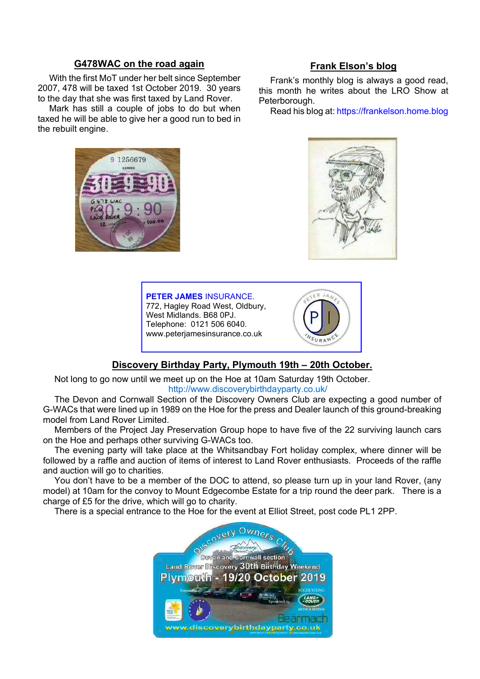#### G478WAC on the road again

With the first MoT under her belt since September 2007, 478 will be taxed 1st October 2019. 30 years to the day that she was first taxed by Land Rover.

Mark has still a couple of jobs to do but when taxed he will be able to give her a good run to bed in the rebuilt engine.

#### Frank Elson's blog

Frank's monthly blog is always a good read, this month he writes about the LRO Show at Peterborough.

Read his blog at: https://frankelson.home.blog





#### PETER JAMES INSURANCE. 772, Hagley Road West, Oldbury, West Midlands. B68 0PJ. Telephone: 0121 506 6040. www.peterjamesinsurance.co.uk



 $E$  R  $J_A$ 

#### Discovery Birthday Party, Plymouth 19th – 20th October.

Not long to go now until we meet up on the Hoe at 10am Saturday 19th October. http://www.discoverybirthdayparty.co.uk/

The Devon and Cornwall Section of the Discovery Owners Club are expecting a good number of G-WACs that were lined up in 1989 on the Hoe for the press and Dealer launch of this ground-breaking model from Land Rover Limited.

Members of the Project Jay Preservation Group hope to have five of the 22 surviving launch cars on the Hoe and perhaps other surviving G-WACs too.

The evening party will take place at the Whitsandbay Fort holiday complex, where dinner will be followed by a raffle and auction of items of interest to Land Rover enthusiasts. Proceeds of the raffle and auction will go to charities.

You don't have to be a member of the DOC to attend, so please turn up in your land Rover, (any model) at 10am for the convoy to Mount Edgecombe Estate for a trip round the deer park. There is a charge of £5 for the drive, which will go to charity.

There is a special entrance to the Hoe for the event at Elliot Street, post code PL1 2PP.

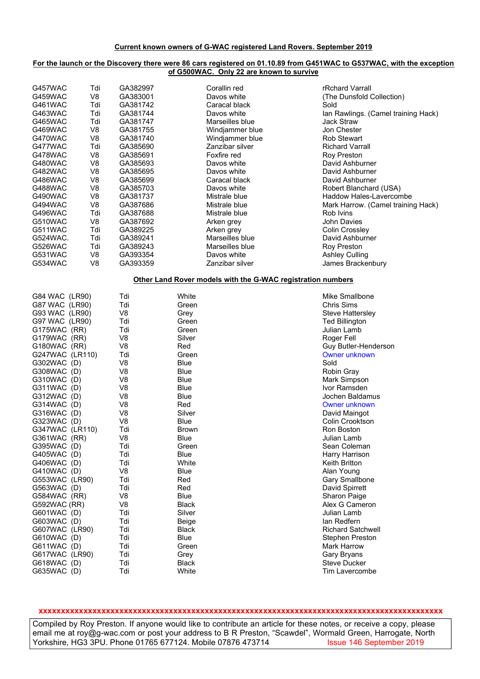#### For the launch or the Discovery there were 86 cars registered on 01.10.89 from G451WAC to G537WAC, with the exception of G500WAC. Only 22 are known to survive

| G457WAC         | Tdi            | GA382997       |              | Corallin red                                                | rRchard Varrall                     |
|-----------------|----------------|----------------|--------------|-------------------------------------------------------------|-------------------------------------|
| G459WAC         | V8             | GA383001       |              | Davos white                                                 | (The Dunsfold Collection)           |
| G461WAC         | Tdi            | GA381742       |              | Caracal black                                               | Sold                                |
|                 |                |                |              |                                                             |                                     |
| G463WAC         | Tdi            | GA381744       |              | Davos white                                                 | Ian Rawlings. (Camel training Hack) |
| G465WAC         | Tdi            | GA381747       |              | Marseilles blue                                             | <b>Jack Straw</b>                   |
| G469WAC         | V8             | GA381755       |              | Windjammer blue                                             | Jon Chester                         |
| G470WAC         | V <sub>8</sub> | GA381740       |              | Windjammer blue                                             | <b>Rob Stewart</b>                  |
|                 |                |                |              |                                                             |                                     |
| G477WAC         | Tdi            | GA385690       |              | Zanzibar silver                                             | <b>Richard Varrall</b>              |
| G478WAC         | V <sub>8</sub> | GA385691       |              | Foxfire red                                                 | <b>Roy Preston</b>                  |
| G480WAC         | V <sub>8</sub> | GA385693       |              | Davos white                                                 | David Ashburner                     |
| G482WAC         | V <sub>8</sub> | GA385695       |              | Davos white                                                 | David Ashburner                     |
|                 |                | GA385699       |              |                                                             |                                     |
| G486WAC         | V <sub>8</sub> |                |              | Caracal black                                               | David Ashburner                     |
| G488WAC         | V8             | GA385703       |              | Davos white                                                 | Robert Blanchard (USA)              |
| G490WAC         | V <sub>8</sub> | GA381737       |              | Mistrale blue                                               | Haddow Hales-Lavercombe             |
| G494WAC         | V <sub>8</sub> | GA387686       |              | Mistrale blue                                               | Mark Harrow. (Camel training Hack)  |
| G496WAC         | Tdi            | GA387688       |              | Mistrale blue                                               | Rob Ivins                           |
|                 |                |                |              |                                                             |                                     |
| G510WAC         | V8             | GA387692       |              | Arken grey                                                  | <b>John Davies</b>                  |
| G511WAC         | Tdi            | GA389225       |              | Arken grey                                                  | Colin Crossley                      |
| G524WAC.        | Tdi            | GA389241       |              | Marseilles blue                                             | David Ashburner                     |
| G526WAC         | Tdi            | GA389243       |              | Marseilles blue                                             | <b>Roy Preston</b>                  |
|                 |                | GA393354       |              |                                                             |                                     |
| G531WAC         | V <sub>8</sub> |                |              | Davos white                                                 | <b>Ashley Culling</b>               |
| G534WAC         | V <sub>8</sub> | GA393359       |              | Zanzibar silver                                             | James Brackenbury                   |
|                 |                |                |              |                                                             |                                     |
|                 |                |                |              | Other Land Rover models with the G-WAC registration numbers |                                     |
|                 |                |                |              |                                                             |                                     |
| G84 WAC (LR90)  |                | Tdi            | White        |                                                             | Mike Smallbone                      |
| G87 WAC (LR90)  |                | Tdi            | Green        |                                                             | <b>Chris Sims</b>                   |
| G93 WAC (LR90)  |                | V8             | Grey         |                                                             | <b>Steve Hattersley</b>             |
| G97 WAC (LR90)  |                | Tdi            | Green        |                                                             | <b>Ted Billington</b>               |
|                 |                |                |              |                                                             |                                     |
| G175WAC (RR)    |                | Tdi            | Green        |                                                             | Julian Lamb                         |
| G179WAC (RR)    |                | V <sub>8</sub> | Silver       |                                                             | Roger Fell                          |
| G180WAC (RR)    |                | V <sub>8</sub> | Red          |                                                             | Guy Butler-Henderson                |
| G247WAC (LR110) |                | Tdi            | Green        |                                                             | <b>Owner unknown</b>                |
| G302WAC (D)     |                | V8             | Blue         |                                                             | Sold                                |
|                 |                |                |              |                                                             |                                     |
| G308WAC (D)     |                | V8             | Blue         |                                                             | Robin Gray                          |
| G310WAC (D)     |                | V <sub>8</sub> | Blue         |                                                             | Mark Simpson                        |
| G311WAC (D)     |                | V8             | Blue         |                                                             | Ivor Ramsden                        |
| G312WAC (D)     |                | V8             | Blue         |                                                             | Jochen Baldamus                     |
| G314WAC (D)     |                | V8             | Red          |                                                             | <b>Owner unknown</b>                |
|                 |                |                |              |                                                             |                                     |
| G316WAC (D)     |                | V <sub>8</sub> | Silver       |                                                             | David Maingot                       |
| G323WAC (D)     |                | V <sub>8</sub> | Blue         |                                                             | <b>Colin Crooktson</b>              |
| G347WAC (LR110) |                | Tdi            | <b>Brown</b> |                                                             | Ron Boston                          |
| G361WAC (RR)    |                | V <sub>8</sub> | Blue         |                                                             | Julian Lamb                         |
| G395WAC (D)     |                | Tdi            |              |                                                             | Sean Coleman                        |
|                 |                |                | Green        |                                                             |                                     |
| G405WAC (D)     |                | Tdi            | Blue         |                                                             | Harry Harrison                      |
| G406WAC (D)     |                | Tdi            | White        |                                                             | Keith Britton                       |
| G410WAC (D)     |                | V <sub>8</sub> | Blue         |                                                             | Alan Young                          |
| G553WAC (LR90)  |                | Tdi            | Red          |                                                             | Gary Smallbone                      |
|                 |                |                |              |                                                             |                                     |
| G563WAC (D)     |                | Tdi            | Red          |                                                             | David Spirrett                      |
| G584WAC (RR)    |                | V <sub>8</sub> | Blue         |                                                             | Sharon Paige                        |
| G592WAC (RR)    |                | V <sub>8</sub> | <b>Black</b> |                                                             | Alex G Cameron                      |
| G601WAC (D)     |                | Tdi            | Silver       |                                                             | Julian Lamb                         |
|                 |                | Tdi            |              |                                                             | lan Redfern                         |
| G603WAC (D)     |                |                | Beige        |                                                             |                                     |
| G607WAC (LR90)  |                | Tdi            | <b>Black</b> |                                                             | <b>Richard Satchwell</b>            |
| G610WAC (D)     |                | Tdi            | Blue         |                                                             | <b>Stephen Preston</b>              |
| G611WAC (D)     |                | Tdi            | Green        |                                                             | <b>Mark Harrow</b>                  |
| G617WAC (LR90)  |                | Tdi            | Grey         |                                                             | Gary Bryans                         |
| G618WAC (D)     |                | Tdi            | <b>Black</b> |                                                             | <b>Steve Ducker</b>                 |
|                 |                |                |              |                                                             |                                     |
| G635WAC (D)     |                | Tdi            | White        |                                                             | Tim Lavercombe                      |

#### xxxxxxxxxxxxxxxxxxxxxxxxxxxxxxxxxxxxxxxxxxxxxxxxxxxxxxxxxxxxxxxxxxxxxxxxxxxxxxxxxxxxxxxxxx

Compiled by Roy Preston. If anyone would like to contribute an article for these notes, or receive a copy, please email me at roy@g-wac.com or post your address to B R Preston, "Scawdel", Wormald Green, Harrogate, North<br>Yorkshire, HG3 3PU. Phone 01765 677124. Mobile 07876 473714 lessue 146 September 2019 Yorkshire, HG3 3PU. Phone 01765 677124. Mobile 07876 473714